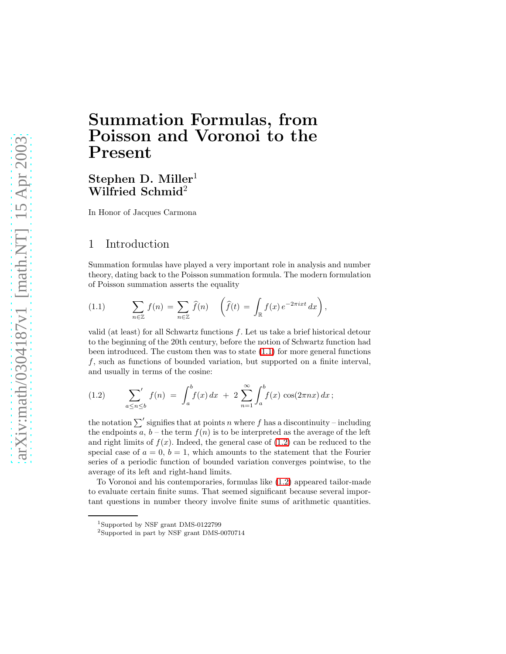# Summation Formulas, from Poisson and Voronoi to the Present

# Stephen D. Miller<sup>1</sup> Wilfried Schmid<sup>2</sup>

In Honor of Jacques Carmona

### 1 Introduction

<span id="page-0-0"></span>Summation formulas have played a very important role in analysis and number theory, dating back to the Poisson summation formula. The modern formulation of Poisson summation asserts the equality

(1.1) 
$$
\sum_{n \in \mathbb{Z}} f(n) = \sum_{n \in \mathbb{Z}} \widehat{f}(n) \quad \left( \widehat{f}(t) = \int_{\mathbb{R}} f(x) e^{-2\pi i x t} dx \right),
$$

valid (at least) for all Schwartz functions  $f$ . Let us take a brief historical detour to the beginning of the 20th century, before the notion of Schwartz function had been introduced. The custom then was to state  $(1.1)$  for more general functions f, such as functions of bounded variation, but supported on a finite interval, and usually in terms of the cosine:

<span id="page-0-1"></span>(1.2) 
$$
\sum_{a \le n \le b} f(n) = \int_a^b f(x) dx + 2 \sum_{n=1}^{\infty} \int_a^b f(x) \cos(2\pi nx) dx;
$$

the notation  $\sum'$  signifies that at points n where f has a discontinuity – including the endpoints  $a, b$  – the term  $f(n)$  is to be interpreted as the average of the left and right limits of  $f(x)$ . Indeed, the general case of  $(1.2)$  can be reduced to the special case of  $a = 0, b = 1$ , which amounts to the statement that the Fourier series of a periodic function of bounded variation converges pointwise, to the average of its left and right-hand limits.

To Voronoi and his contemporaries, formulas like [\(1.2\)](#page-0-1) appeared tailor-made to evaluate certain finite sums. That seemed significant because several important questions in number theory involve finite sums of arithmetic quantities.

<sup>1</sup>Supported by NSF grant DMS-0122799

<sup>2</sup>Supported in part by NSF grant DMS-0070714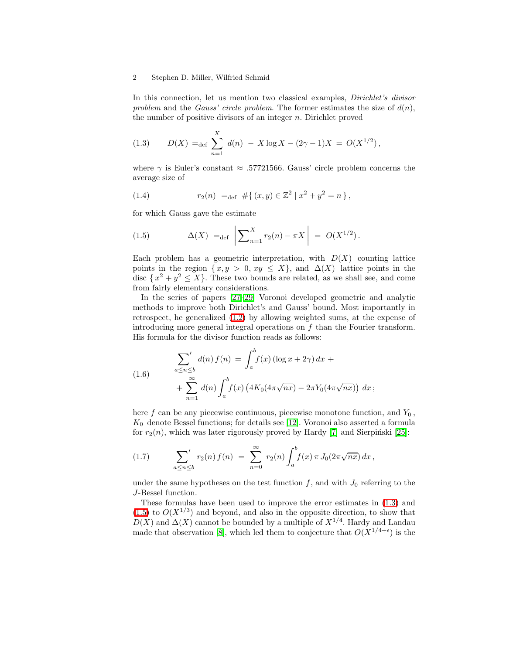<span id="page-1-0"></span>In this connection, let us mention two classical examples, *Dirichlet's divisor* problem and the Gauss' circle problem. The former estimates the size of  $d(n)$ , the number of positive divisors of an integer  $n$ . Dirichlet proved

(1.3) 
$$
D(X) =_{\text{def}} \sum_{n=1}^{X} d(n) - X \log X - (2\gamma - 1)X = O(X^{1/2}),
$$

where  $\gamma$  is Euler's constant  $\approx$  .57721566. Gauss' circle problem concerns the average size of

<span id="page-1-1"></span>(1.4) 
$$
r_2(n) =_{def} #\{(x,y) \in \mathbb{Z}^2 \mid x^2 + y^2 = n\},
$$

for which Gauss gave the estimate

(1.5) 
$$
\Delta(X) =_{\text{def}} \left| \sum_{n=1}^{X} r_2(n) - \pi X \right| = O(X^{1/2}).
$$

Each problem has a geometric interpretation, with  $D(X)$  counting lattice points in the region  $\{x, y > 0, xy \leq X\}$ , and  $\Delta(X)$  lattice points in the disc  $\{x^2 + y^2 \le X\}$ . These two bounds are related, as we shall see, and come from fairly elementary considerations.

<span id="page-1-2"></span>In the series of papers [\[27–](#page-20-0)[29\]](#page-21-0) Voronoi developed geometric and analytic methods to improve both Dirichlet's and Gauss' bound. Most importantly in retrospect, he generalized [\(1.2\)](#page-0-1) by allowing weighted sums, at the expense of introducing more general integral operations on  $f$  than the Fourier transform. His formula for the divisor function reads as follows:

(1.6) 
$$
\sum_{a \le n \le b} d(n) f(n) = \int_{a}^{b} f(x) (\log x + 2\gamma) dx +
$$

$$
+ \sum_{n=1}^{\infty} d(n) \int_{a}^{b} f(x) (4K_0(4\pi\sqrt{nx}) - 2\pi Y_0(4\pi\sqrt{nx})) dx;
$$

<span id="page-1-3"></span>here  $f$  can be any piecewise continuous, piecewise monotone function, and  $Y_0$ ,  $K_0$  denote Bessel functions; for details see [\[12\]](#page-20-1). Voronoi also asserted a formula for  $r_2(n)$ , which was later rigorously proved by Hardy [\[7\]](#page-20-2) and Sierpiński [\[25\]](#page-20-3):

(1.7) 
$$
\sum_{a \leq n \leq b} r_2(n) f(n) = \sum_{n=0}^{\infty} r_2(n) \int_a^b f(x) \pi J_0(2\pi \sqrt{n x}) dx,
$$

under the same hypotheses on the test function  $f$ , and with  $J_0$  referring to the J-Bessel function.

These formulas have been used to improve the error estimates in [\(1.3\)](#page-1-0) and  $(1.5)$  to  $O(X^{1/3})$  and beyond, and also in the opposite direction, to show that  $D(X)$  and  $\Delta(X)$  cannot be bounded by a multiple of  $X^{1/4}$ . Hardy and Landau made that observation [\[8\]](#page-20-4), which led them to conjecture that  $O(X^{1/4+\epsilon})$  is the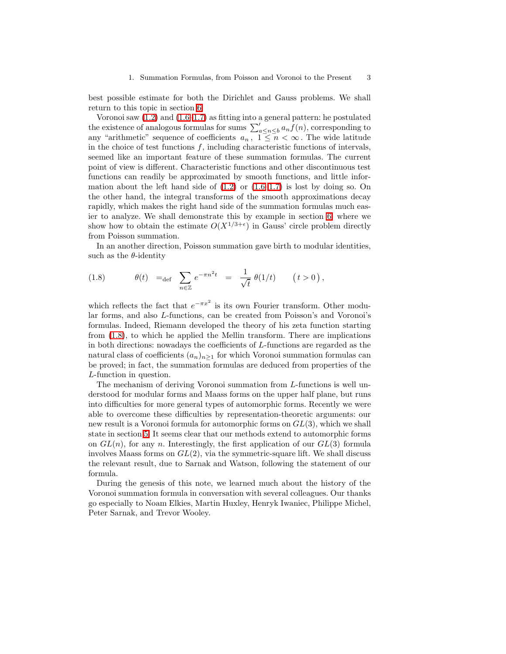best possible estimate for both the Dirichlet and Gauss problems. We shall return to this topic in section [6.](#page-17-0)

Voronoi saw [\(1.2\)](#page-0-1) and [\(1.6](#page-1-2)[–1.7\)](#page-1-3) as fitting into a general pattern: he postulated the existence of analogous formulas for sums  $\sum_{a \leq n \leq b}^{\prime} a_n f(n)$ , corresponding to any "arithmetic" sequence of coefficients  $a_n$ ,  $1 \leq n < \infty$ . The wide latitude in the choice of test functions  $f$ , including characteristic functions of intervals, seemed like an important feature of these summation formulas. The current point of view is different. Characteristic functions and other discontinuous test functions can readily be approximated by smooth functions, and little information about the left hand side of  $(1.2)$  or  $(1.6-1.7)$  $(1.6-1.7)$  is lost by doing so. On the other hand, the integral transforms of the smooth approximations decay rapidly, which makes the right hand side of the summation formulas much easier to analyze. We shall demonstrate this by example in section [6,](#page-17-0) where we show how to obtain the estimate  $O(X^{1/3+\epsilon})$  in Gauss' circle problem directly from Poisson summation.

<span id="page-2-0"></span>In an another direction, Poisson summation gave birth to modular identities, such as the  $\theta$ -identity

(1.8) 
$$
\theta(t) =_{\text{def}} \sum_{n \in \mathbb{Z}} e^{-\pi n^2 t} = \frac{1}{\sqrt{t}} \theta(1/t) \qquad (t > 0),
$$

which reflects the fact that  $e^{-\pi x^2}$  is its own Fourier transform. Other modular forms, and also L-functions, can be created from Poisson's and Voronoi's formulas. Indeed, Riemann developed the theory of his zeta function starting from [\(1.8\)](#page-2-0), to which he applied the Mellin transform. There are implications in both directions: nowadays the coefficients of L-functions are regarded as the natural class of coefficients  $(a_n)_{n\geq 1}$  for which Voronoi summation formulas can be proved; in fact, the summation formulas are deduced from properties of the L-function in question.

The mechanism of deriving Voronoi summation from L-functions is well understood for modular forms and Maass forms on the upper half plane, but runs into difficulties for more general types of automorphic forms. Recently we were able to overcome these difficulties by representation-theoretic arguments: our new result is a Voronoi formula for automorphic forms on  $GL(3)$ , which we shall state in section [5.](#page-12-0) It seems clear that our methods extend to automorphic forms on  $GL(n)$ , for any n. Interestingly, the first application of our  $GL(3)$  formula involves Maass forms on  $GL(2)$ , via the symmetric-square lift. We shall discuss the relevant result, due to Sarnak and Watson, following the statement of our formula.

During the genesis of this note, we learned much about the history of the Voronoi summation formula in conversation with several colleagues. Our thanks go especially to Noam Elkies, Martin Huxley, Henryk Iwaniec, Philippe Michel, Peter Sarnak, and Trevor Wooley.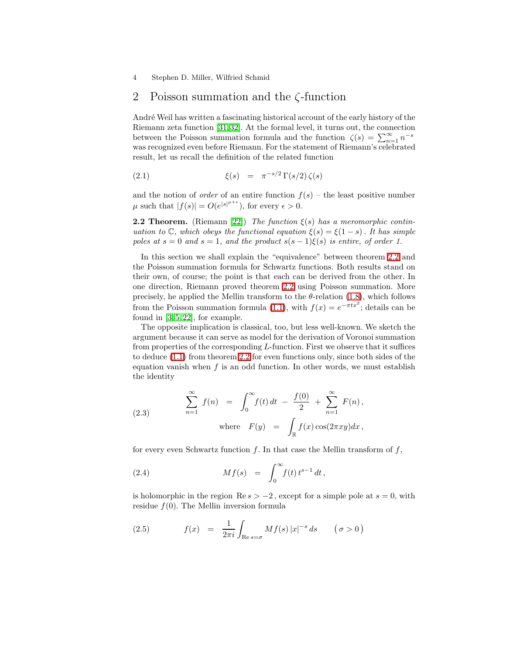# <span id="page-3-2"></span>2 Poisson summation and the ζ-function

André Weil has written a fascinating historical account of the early history of the Riemann zeta function [\[31,](#page-21-1) [32\]](#page-21-2). At the formal level, it turns out, the connection between the Poisson summation formula and the function  $\zeta(s) = \sum_{n=1}^{\infty} n^{-s}$ was recognized even before Riemann. For the statement of Riemann's celebrated result, let us recall the definition of the related function

$$
\xi(s) = \pi^{-s/2} \Gamma(s/2) \zeta(s)
$$

<span id="page-3-0"></span>and the notion of *order* of an entire function  $f(s)$  – the least positive number  $\mu$  such that  $|f(s)| = O(e^{|s|^{\mu+\epsilon}})$ , for every  $\epsilon > 0$ .

**2.2 Theorem.** (Riemann [\[22\]](#page-20-5)) The function  $\xi(s)$  has a meromorphic continuation to  $\mathbb C$ , which obeys the functional equation  $\xi(s) = \xi(1-s)$ . It has simple poles at  $s = 0$  and  $s = 1$ , and the product  $s(s - 1)\xi(s)$  is entire, of order 1.

In this section we shall explain the "equivalence" between theorem [2.2](#page-3-0) and the Poisson summation formula for Schwartz functions. Both results stand on their own, of course; the point is that each can be derived from the other. In one direction, Riemann proved theorem [2.2](#page-3-0) using Poisson summation. More precisely, he applied the Mellin transform to the  $\theta$ -relation [\(1.8\)](#page-2-0), which follows from the Poisson summation formula [\(1.1\)](#page-0-0), with  $f(x) = e^{-\pi tx^2}$ ; details can be found in  $[3, 5, 22]$  $[3, 5, 22]$  $[3, 5, 22]$ , for example.

The opposite implication is classical, too, but less well-known. We sketch the argument because it can serve as model for the derivation of Voronoi summation from properties of the corresponding L-function. First we observe that it suffices to deduce [\(1.1\)](#page-0-0) from theorem [2.2](#page-3-0) for even functions only, since both sides of the equation vanish when  $f$  is an odd function. In other words, we must establish the identity

<span id="page-3-1"></span>(2.3) 
$$
\sum_{n=1}^{\infty} f(n) = \int_0^{\infty} f(t) dt - \frac{f(0)}{2} + \sum_{n=1}^{\infty} F(n),
$$
  
where  $F(y) = \int_{\mathbb{R}} f(x) \cos(2\pi xy) dx$ ,

for every even Schwartz function  $f$ . In that case the Mellin transform of  $f$ ,

(2.4) 
$$
Mf(s) = \int_0^\infty f(t) t^{s-1} dt
$$
,

is holomorphic in the region Re  $s > -2$ , except for a simple pole at  $s = 0$ , with residue  $f(0)$ . The Mellin inversion formula

(2.5) 
$$
f(x) = \frac{1}{2\pi i} \int_{\text{Re } s = \sigma} Mf(s) |x|^{-s} ds \qquad (\sigma > 0)
$$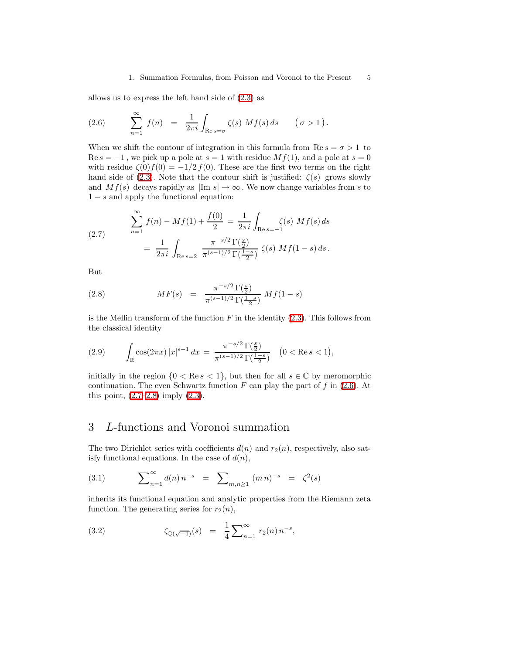#### <span id="page-4-0"></span>1. Summation Formulas, from Poisson and Voronoi to the Present 5

allows us to express the left hand side of [\(2.3\)](#page-3-1) as

(2.6) 
$$
\sum_{n=1}^{\infty} f(n) = \frac{1}{2\pi i} \int_{\text{Re } s = \sigma} \zeta(s) Mf(s) ds \qquad (\sigma > 1).
$$

When we shift the contour of integration in this formula from  $\text{Re } s = \sigma > 1$  to  $\text{Re } s = -1$ , we pick up a pole at  $s = 1$  with residue  $Mf(1)$ , and a pole at  $s = 0$ with residue  $\zeta(0)f(0) = -1/2 f(0)$ . These are the first two terms on the right hand side of [\(2.3\)](#page-3-1). Note that the contour shift is justified:  $\zeta(s)$  grows slowly and  $Mf(s)$  decays rapidly as  $|\text{Im } s| \to \infty$ . We now change variables from s to  $1 - s$  and apply the functional equation:

<span id="page-4-1"></span>(2.7) 
$$
\sum_{n=1}^{\infty} f(n) - Mf(1) + \frac{f(0)}{2} = \frac{1}{2\pi i} \int_{\text{Re } s = -1} \zeta(s) Mf(s) ds
$$

$$
= \frac{1}{2\pi i} \int_{\text{Re } s = 2} \frac{\pi^{-s/2} \Gamma(\frac{s}{2})}{\pi^{(s-1)/2} \Gamma(\frac{1-s}{2})} \zeta(s) Mf(1-s) ds.
$$

<span id="page-4-2"></span>But

(2.8) 
$$
MF(s) = \frac{\pi^{-s/2} \Gamma(\frac{s}{2})}{\pi^{(s-1)/2} \Gamma(\frac{1-s}{2})} Mf(1-s)
$$

<span id="page-4-5"></span>is the Mellin transform of the function  $F$  in the identity  $(2.3)$ . This follows from the classical identity

(2.9) 
$$
\int_{\mathbb{R}} \cos(2\pi x) |x|^{s-1} dx = \frac{\pi^{-s/2} \Gamma(\frac{s}{2})}{\pi^{(s-1)/2} \Gamma(\frac{1-s}{2})} \quad (0 < \text{Re } s < 1),
$$

initially in the region  $\{0 < \text{Re } s < 1\}$ , but then for all  $s \in \mathbb{C}$  by meromorphic continuation. The even Schwartz function  $F$  can play the part of  $f$  in [\(2.6\)](#page-4-0). At this point, [\(2.7–](#page-4-1)[2.8\)](#page-4-2) imply [\(2.3\)](#page-3-1).

### 3 L-functions and Voronoi summation

<span id="page-4-3"></span>The two Dirichlet series with coefficients  $d(n)$  and  $r_2(n)$ , respectively, also satisfy functional equations. In the case of  $d(n)$ ,

(3.1) 
$$
\sum_{n=1}^{\infty} d(n) n^{-s} = \sum_{m,n \ge 1} (m n)^{-s} = \zeta^2(s)
$$

<span id="page-4-4"></span>inherits its functional equation and analytic properties from the Riemann zeta function. The generating series for  $r_2(n)$ ,

(3.2) 
$$
\zeta_{\mathbb{Q}(\sqrt{-1})}(s) = \frac{1}{4} \sum_{n=1}^{\infty} r_2(n) n^{-s},
$$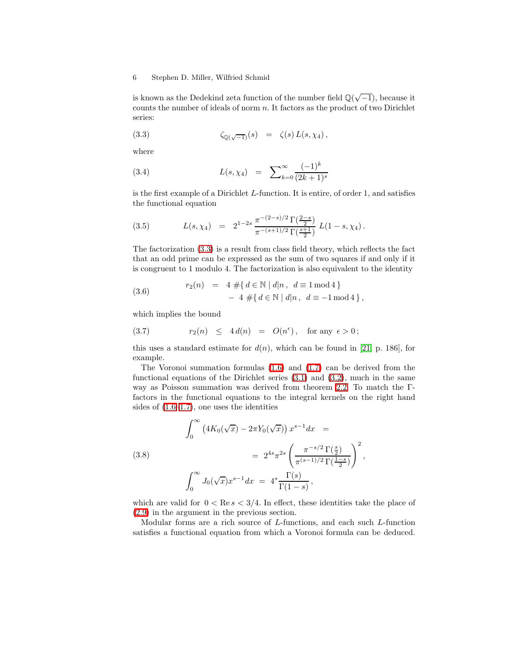<span id="page-5-0"></span>is known as the Dedekind zeta function of the number field  $\mathbb{Q}(\sqrt{-1})$ , because it counts the number of ideals of norm  $n$ . It factors as the product of two Dirichlet series:

(3.3) 
$$
\zeta_{\mathbb{Q}(\sqrt{-1})}(s) = \zeta(s) L(s, \chi_4),
$$

where

(3.4) 
$$
L(s, \chi_4) = \sum_{k=0}^{\infty} \frac{(-1)^k}{(2k+1)^s}
$$

is the first example of a Dirichlet L-function. It is entire, of order 1, and satisfies the functional equation

(3.5) 
$$
L(s, \chi_4) = 2^{1-2s} \frac{\pi^{-(2-s)/2} \Gamma(\frac{2-s}{2})}{\pi^{-(s+1)/2} \Gamma(\frac{s+1}{2})} L(1-s, \chi_4).
$$

The factorization [\(3.3\)](#page-5-0) is a result from class field theory, which reflects the fact that an odd prime can be expressed as the sum of two squares if and only if it is congruent to 1 modulo 4. The factorization is also equivalent to the identity

(3.6) 
$$
r_2(n) = 4 \# \{ d \in \mathbb{N} \mid d|n, d \equiv 1 \mod 4 \} - 4 \# \{ d \in \mathbb{N} \mid d|n, d \equiv -1 \mod 4 \},
$$

<span id="page-5-1"></span>which implies the bound

$$
(3.7) \qquad \qquad r_2(n) \ \leq \ 4 \, d(n) \ \ = \ \ O(n^{\epsilon}) \, , \quad \text{for any } \, \epsilon > 0 \, ;
$$

this uses a standard estimate for  $d(n)$ , which can be found in [\[21,](#page-20-6) p. 186], for example.

The Voronoi summation formulas [\(1.6\)](#page-1-2) and [\(1.7\)](#page-1-3) can be derived from the functional equations of the Dirichlet series [\(3.1\)](#page-4-3) and [\(3.2\)](#page-4-4), much in the same way as Poisson summation was derived from theorem [2.2.](#page-3-0) To match the Γfactors in the functional equations to the integral kernels on the right hand sides of  $(1.6-1.7)$  $(1.6-1.7)$ , one uses the identities

(3.8)  
\n
$$
\int_0^\infty \left(4K_0(\sqrt{x}) - 2\pi Y_0(\sqrt{x})\right) x^{s-1} dx =
$$
\n
$$
= 2^{4s} \pi^{2s} \left(\frac{\pi^{-s/2} \Gamma(\frac{s}{2})}{\pi^{(s-1)/2} \Gamma(\frac{1-s}{2})}\right)^2,
$$
\n
$$
\int_0^\infty J_0(\sqrt{x}) x^{s-1} dx = 4^s \frac{\Gamma(s)}{\Gamma(1-s)},
$$

which are valid for  $0 < \text{Re } s < 3/4$ . In effect, these identities take the place of [\(2.9\)](#page-4-5) in the argument in the previous section.

Modular forms are a rich source of L-functions, and each such L-function satisfies a functional equation from which a Voronoi formula can be deduced.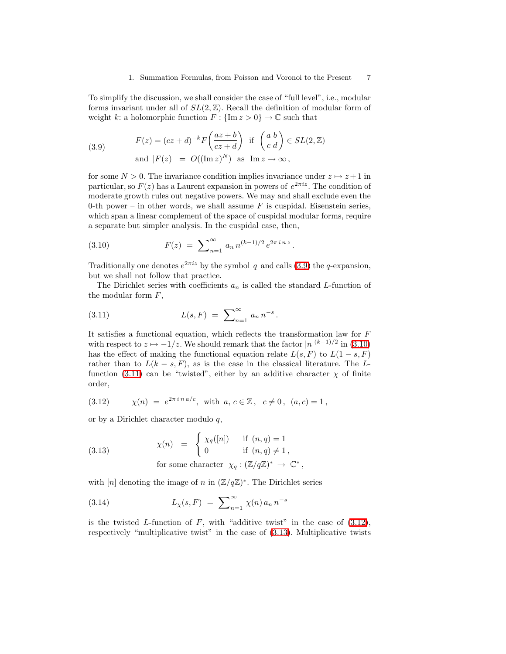<span id="page-6-0"></span>To simplify the discussion, we shall consider the case of "full level", i.e., modular forms invariant under all of  $SL(2, \mathbb{Z})$ . Recall the definition of modular form of weight k: a holomorphic function  $F: {\{\text{Im } z > 0\}} \to \mathbb{C}$  such that

(3.9) 
$$
F(z) = (cz + d)^{-k} F\left(\frac{az + b}{cz + d}\right) \text{ if } \begin{pmatrix} a & b \\ c & d \end{pmatrix} \in SL(2, \mathbb{Z})
$$
  
and  $|F(z)| = O((\text{Im } z)^N)$  as  $\text{Im } z \to \infty$ ,

for some  $N > 0$ . The invariance condition implies invariance under  $z \mapsto z + 1$  in particular, so  $F(z)$  has a Laurent expansion in powers of  $e^{2\pi i z}$ . The condition of moderate growth rules out negative powers. We may and shall exclude even the 0-th power – in other words, we shall assume  $F$  is cuspidal. Eisenstein series, which span a linear complement of the space of cuspidal modular forms, require a separate but simpler analysis. In the cuspidal case, then,

<span id="page-6-1"></span>(3.10) 
$$
F(z) = \sum_{n=1}^{\infty} a_n n^{(k-1)/2} e^{2\pi i n z}.
$$

Traditionally one denotes  $e^{2\pi i z}$  by the symbol q and calls [\(3.9\)](#page-6-0) the q-expansion, but we shall not follow that practice.

<span id="page-6-2"></span>The Dirichlet series with coefficients  $a_n$  is called the standard L-function of the modular form  $F$ ,

(3.11) 
$$
L(s, F) = \sum_{n=1}^{\infty} a_n n^{-s}.
$$

It satisfies a functional equation, which reflects the transformation law for  ${\cal F}$ with respect to  $z \mapsto -1/z$ . We should remark that the factor  $|n|^{(k-1)/2}$  in [\(3.10\)](#page-6-1) has the effect of making the functional equation relate  $L(s, F)$  to  $L(1 - s, F)$ rather than to  $L(k - s, F)$ , as is the case in the classical literature. The L-function [\(3.11\)](#page-6-2) can be "twisted", either by an additive character  $\chi$  of finite order,

<span id="page-6-4"></span><span id="page-6-3"></span>(3.12) 
$$
\chi(n) = e^{2\pi i n a/c}
$$
, with  $a, c \in \mathbb{Z}$ ,  $c \neq 0$ ,  $(a, c) = 1$ ,

or by a Dirichlet character modulo q,

(3.13) 
$$
\chi(n) = \begin{cases} \chi_q([n]) & \text{if } (n,q) = 1 \\ 0 & \text{if } (n,q) \neq 1, \end{cases}
$$
  
for some character  $\chi_q : (\mathbb{Z}/q\mathbb{Z})^* \to \mathbb{C}^*$ 

with [n] denoting the image of n in  $(\mathbb{Z}/q\mathbb{Z})^*$ . The Dirichlet series

(3.14) 
$$
L_{\chi}(s, F) = \sum_{n=1}^{\infty} \chi(n) a_n n^{-s}
$$

is the twisted L-function of  $F$ , with "additive twist" in the case of  $(3.12)$ , respectively "multiplicative twist" in the case of [\(3.13\)](#page-6-4). Multiplicative twists

,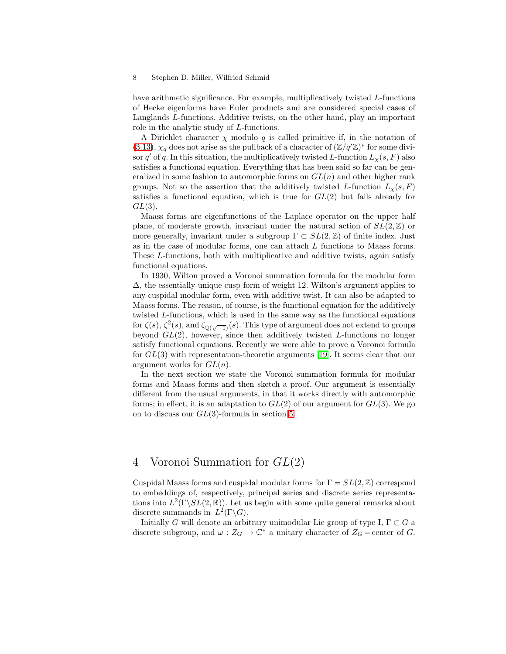have arithmetic significance. For example, multiplicatively twisted L-functions of Hecke eigenforms have Euler products and are considered special cases of Langlands L-functions. Additive twists, on the other hand, play an important role in the analytic study of L-functions.

A Dirichlet character  $\chi$  modulo q is called primitive if, in the notation of [\(3.13\)](#page-6-4),  $\chi_q$  does not arise as the pullback of a character of  $(\mathbb{Z}/q'\mathbb{Z})^*$  for some divisor  $q'$  of q. In this situation, the multiplicatively twisted L-function  $L_{\chi}(s,F)$  also satisfies a functional equation. Everything that has been said so far can be generalized in some fashion to automorphic forms on  $GL(n)$  and other higher rank groups. Not so the assertion that the additively twisted L-function  $L_{\chi}(s, F)$ satisfies a functional equation, which is true for  $GL(2)$  but fails already for  $GL(3)$ .

Maass forms are eigenfunctions of the Laplace operator on the upper half plane, of moderate growth, invariant under the natural action of  $SL(2, \mathbb{Z})$  or more generally, invariant under a subgroup  $\Gamma \subset SL(2,\mathbb{Z})$  of finite index. Just as in the case of modular forms, one can attach L functions to Maass forms. These L-functions, both with multiplicative and additive twists, again satisfy functional equations.

In 1930, Wilton proved a Voronoi summation formula for the modular form  $\Delta$ , the essentially unique cusp form of weight 12. Wilton's argument applies to any cuspidal modular form, even with additive twist. It can also be adapted to Maass forms. The reason, of course, is the functional equation for the additively twisted L-functions, which is used in the same way as the functional equations for  $\zeta(s)$ ,  $\zeta^2(s)$ , and  $\zeta_{\mathbb{Q}(\sqrt{-1})}(s)$ . This type of argument does not extend to groups beyond  $GL(2)$ , however, since then additively twisted L-functions no longer satisfy functional equations. Recently we were able to prove a Voronoi formula for  $GL(3)$  with representation-theoretic arguments [\[19\]](#page-20-7). It seems clear that our argument works for  $GL(n)$ .

In the next section we state the Voronoi summation formula for modular forms and Maass forms and then sketch a proof. Our argument is essentially different from the usual arguments, in that it works directly with automorphic forms; in effect, it is an adaptation to  $GL(2)$  of our argument for  $GL(3)$ . We go on to discuss our GL(3)-formula in section [5.](#page-12-0)

## 4 Voronoi Summation for GL(2)

Cuspidal Maass forms and cuspidal modular forms for  $\Gamma = SL(2,\mathbb{Z})$  correspond to embeddings of, respectively, principal series and discrete series representations into  $L^2(\Gamma \backslash SL(2, \mathbb{R}))$ . Let us begin with some quite general remarks about discrete summands in  $L^2(\Gamma \backslash G)$ .

Initially G will denote an arbitrary unimodular Lie group of type I,  $\Gamma \subset G$  a discrete subgroup, and  $\omega$  :  $Z_G \to \mathbb{C}^*$  a unitary character of  $Z_G$  = center of G.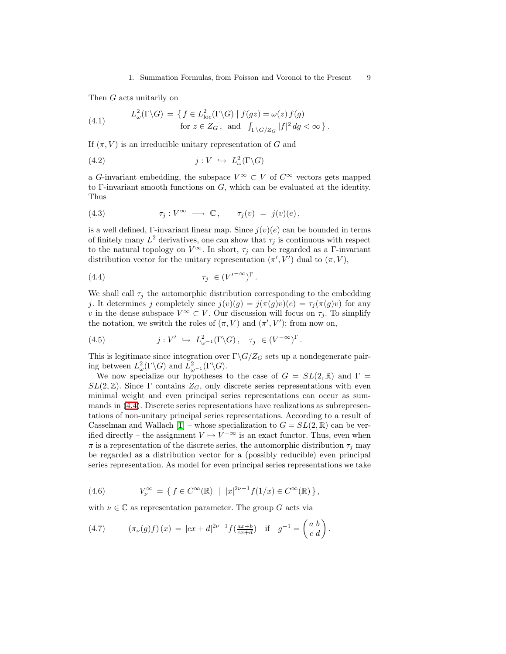<span id="page-8-4"></span>Then G acts unitarily on

(4.1) 
$$
L^2_{\omega}(\Gamma \backslash G) = \{ f \in L^2_{\text{loc}}(\Gamma \backslash G) \mid f(gz) = \omega(z) f(g) \text{ for } z \in Z_G, \text{ and } \int_{\Gamma \backslash G/Z_G} |f|^2 dg < \infty \}.
$$

If  $(\pi, V)$  is an irreducible unitary representation of G and

(4.2) 
$$
j: V \hookrightarrow L^2_{\omega}(\Gamma \backslash G)
$$

a G-invariant embedding, the subspace  $V^{\infty} \subset V$  of  $C^{\infty}$  vectors gets mapped to Γ-invariant smooth functions on G, which can be evaluated at the identity. Thus

(4.3) 
$$
\tau_j: V^{\infty} \longrightarrow \mathbb{C}, \quad \tau_j(v) = j(v)(e),
$$

<span id="page-8-0"></span>is a well defined, Γ-invariant linear map. Since  $j(v)(e)$  can be bounded in terms of finitely many  $L^2$  derivatives, one can show that  $\tau_j$  is continuous with respect to the natural topology on  $V^{\infty}$ . In short,  $\tau_i$  can be regarded as a Γ-invariant distribution vector for the unitary representation  $(\pi', V')$  dual to  $(\pi, V)$ ,

(4.4) τ<sup>j</sup> ∈ (V ′−∞) Γ .

We shall call  $\tau_i$  the automorphic distribution corresponding to the embedding j. It determines j completely since  $j(v)(g) = j(\pi(g)v)(e) = \tau_i(\pi(g)v)$  for any v in the dense subspace  $V^{\infty} \subset V$ . Our discussion will focus on  $\tau_i$ . To simplify the notation, we switch the roles of  $(\pi, V)$  and  $(\pi', V')$ ; from now on,

<span id="page-8-3"></span>(4.5) 
$$
j: V' \hookrightarrow L^2_{\omega^{-1}}(\Gamma \backslash G), \quad \tau_j \in (V^{-\infty})^{\Gamma}.
$$

This is legitimate since integration over  $\Gamma \backslash G/Z_G$  sets up a nondegenerate pairing between  $L^2_{\omega}(\Gamma \backslash G)$  and  $L^2_{\omega^{-1}}(\Gamma \backslash G)$ .

We now specialize our hypotheses to the case of  $G = SL(2,\mathbb{R})$  and  $\Gamma =$  $SL(2, \mathbb{Z})$ . Since  $\Gamma$  contains  $Z_G$ , only discrete series representations with even minimal weight and even principal series representations can occur as summands in [\(4.4\)](#page-8-0). Discrete series representations have realizations as subrepresentations of non-unitary principal series representations. According to a result of Casselman and Wallach [\[1\]](#page-19-2) – whose specialization to  $G = SL(2, \mathbb{R})$  can be verified directly – the assignment  $V \mapsto V^{-\infty}$  is an exact functor. Thus, even when  $\pi$  is a representation of the discrete series, the automorphic distribution  $\tau_j$  may be regarded as a distribution vector for a (possibly reducible) even principal series representation. As model for even principal series representations we take

<span id="page-8-2"></span><span id="page-8-1"></span>(4.6) 
$$
V_{\nu}^{\infty} = \{ f \in C^{\infty}(\mathbb{R}) \mid |x|^{2\nu - 1} f(1/x) \in C^{\infty}(\mathbb{R}) \},
$$

with  $\nu \in \mathbb{C}$  as representation parameter. The group G acts via

(4.7) 
$$
(\pi_{\nu}(g)f)(x) = |cx+d|^{2\nu-1} f(\frac{ax+b}{cx+d}) \text{ if } g^{-1} = \begin{pmatrix} a & b \\ c & d \end{pmatrix}.
$$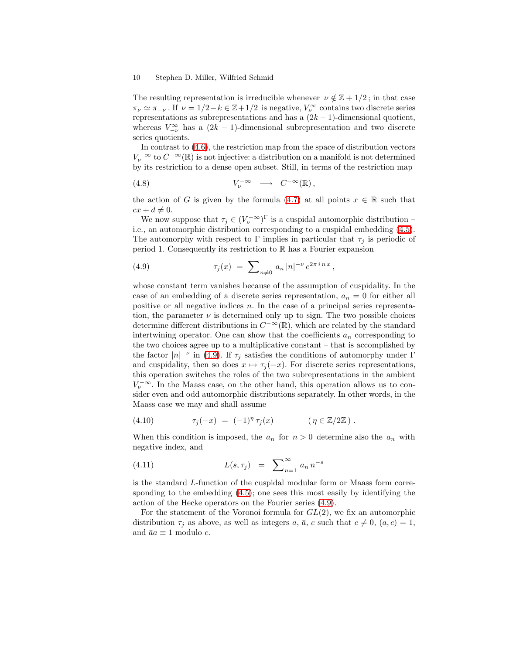The resulting representation is irreducible whenever  $\nu \notin \mathbb{Z} + 1/2$ ; in that case  $\pi_{\nu} \simeq \pi_{-\nu}$ . If  $\nu = 1/2 - k \in \mathbb{Z} + 1/2$  is negative,  $V_{\nu}^{\infty}$  contains two discrete series representations as subrepresentations and has a  $(2k-1)$ -dimensional quotient, whereas  $V^{\infty}_{-\nu}$  has a  $(2k-1)$ -dimensional subrepresentation and two discrete series quotients.

<span id="page-9-2"></span>In contrast to [\(4.6\)](#page-8-1), the restriction map from the space of distribution vectors  $V_{\nu}^{-\infty}$  to  $C^{-\infty}(\mathbb{R})$  is not injective: a distribution on a manifold is not determined by its restriction to a dense open subset. Still, in terms of the restriction map

(4.8) 
$$
V_{\nu}^{-\infty} \longrightarrow C^{-\infty}(\mathbb{R}),
$$

the action of G is given by the formula [\(4.7\)](#page-8-2) at all points  $x \in \mathbb{R}$  such that  $cx + d \neq 0.$ 

<span id="page-9-0"></span>We now suppose that  $\tau_j \in (V_\nu^{-\infty})^\Gamma$  is a cuspidal automorphic distribution – i.e., an automorphic distribution corresponding to a cuspidal embedding [\(4.5\)](#page-8-3). The automorphy with respect to  $\Gamma$  implies in particular that  $\tau_j$  is periodic of period 1. Consequently its restriction to R has a Fourier expansion

(4.9) 
$$
\tau_j(x) = \sum_{n \neq 0} a_n |n|^{-\nu} e^{2\pi i n x},
$$

whose constant term vanishes because of the assumption of cuspidality. In the case of an embedding of a discrete series representation,  $a_n = 0$  for either all positive or all negative indices  $n$ . In the case of a principal series representation, the parameter  $\nu$  is determined only up to sign. The two possible choices determine different distributions in  $C^{-\infty}(\mathbb{R})$ , which are related by the standard intertwining operator. One can show that the coefficients  $a_n$  corresponding to the two choices agree up to a multiplicative constant – that is accomplished by the factor  $|n|^{-\nu}$  in [\(4.9\)](#page-9-0). If  $\tau_j$  satisfies the conditions of automorphy under  $\Gamma$ and cuspidality, then so does  $x \mapsto \tau_j(-x)$ . For discrete series representations, this operation switches the roles of the two subrepresentations in the ambient  $V_{\nu}^{-\infty}$ . In the Maass case, on the other hand, this operation allows us to consider even and odd automorphic distributions separately. In other words, in the Maass case we may and shall assume

<span id="page-9-3"></span>(4.10) 
$$
\tau_j(-x) = (-1)^{\eta} \tau_j(x) \qquad (\eta \in \mathbb{Z}/2\mathbb{Z}).
$$

When this condition is imposed, the  $a_n$  for  $n > 0$  determine also the  $a_n$  with negative index, and

(4.11) 
$$
L(s, \tau_j) = \sum_{n=1}^{\infty} a_n n^{-s}
$$

is the standard L-function of the cuspidal modular form or Maass form corresponding to the embedding [\(4.5\)](#page-8-3); one sees this most easily by identifying the action of the Hecke operators on the Fourier series [\(4.9\)](#page-9-0).

<span id="page-9-1"></span>For the statement of the Voronoi formula for  $GL(2)$ , we fix an automorphic distribution  $\tau_j$  as above, as well as integers a,  $\bar{a}$ , c such that  $c \neq 0$ ,  $(a, c) = 1$ , and  $\bar{a}a \equiv 1$  modulo c.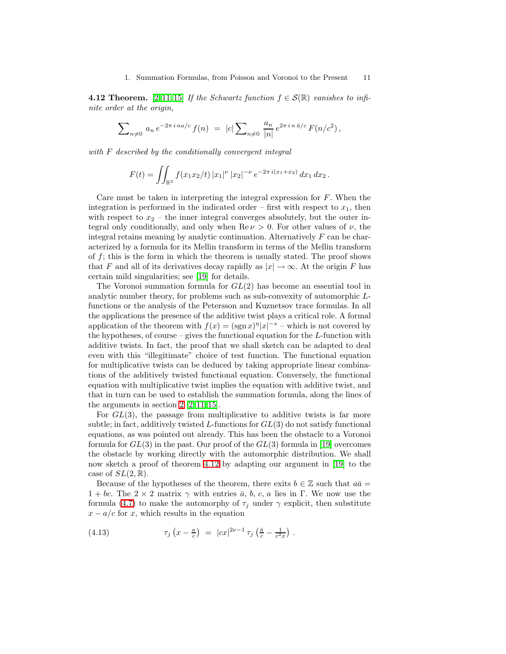**4.12 Theorem.** [\[2,](#page-19-3) [11,](#page-20-8) [15\]](#page-20-9) If the Schwartz function  $f \in \mathcal{S}(\mathbb{R})$  vanishes to infinite order at the origin,

$$
\sum_{n\neq 0} a_n e^{-2\pi i n a/c} f(n) = |c| \sum_{n\neq 0} \frac{a_n}{|n|} e^{2\pi i n \bar{a}/c} F(n/c^2),
$$

with F described by the conditionally convergent integral

$$
F(t) = \iint_{\mathbb{R}^2} f(x_1 x_2/t) |x_1|^{\nu} |x_2|^{-\nu} e^{-2\pi i (x_1 + x_2)} dx_1 dx_2.
$$

Care must be taken in interpreting the integral expression for  $F$ . When the integration is performed in the indicated order – first with respect to  $x_1$ , then with respect to  $x_2$  – the inner integral converges absolutely, but the outer integral only conditionally, and only when  $\text{Re}\nu > 0$ . For other values of  $\nu$ , the integral retains meaning by analytic continuation. Alternatively  $F$  can be characterized by a formula for its Mellin transform in terms of the Mellin transform of  $f$ ; this is the form in which the theorem is usually stated. The proof shows that F and all of its derivatives decay rapidly as  $|x| \to \infty$ . At the origin F has certain mild singularities; see [\[19\]](#page-20-7) for details.

The Voronoi summation formula for  $GL(2)$  has become an essential tool in analytic number theory, for problems such as sub-convexity of automorphic Lfunctions or the analysis of the Petersson and Kuznetsov trace formulas. In all the applications the presence of the additive twist plays a critical role. A formal application of the theorem with  $f(x) = (\operatorname{sgn} x)^{\eta} |x|^{-s}$  – which is not covered by the hypotheses, of course – gives the functional equation for the  $L$ -function with additive twists. In fact, the proof that we shall sketch can be adapted to deal even with this "illegitimate" choice of test function. The functional equation for multiplicative twists can be deduced by taking appropriate linear combinations of the additively twisted functional equation. Conversely, the functional equation with multiplicative twist implies the equation with additive twist, and that in turn can be used to establish the summation formula, along the lines of the arguments in section  $2 \; [2, 11, 15]$  $2 \; [2, 11, 15]$  $2 \; [2, 11, 15]$  $2 \; [2, 11, 15]$ .

For  $GL(3)$ , the passage from multiplicative to additive twists is far more subtle; in fact, additively twisted L-functions for  $GL(3)$  do not satisfy functional equations, as was pointed out already. This has been the obstacle to a Voronoi formula for  $GL(3)$  in the past. Our proof of the  $GL(3)$  formula in [\[19\]](#page-20-7) overcomes the obstacle by working directly with the automorphic distribution. We shall now sketch a proof of theorem [4.12](#page-9-1) by adapting our argument in [\[19\]](#page-20-7) to the case of  $SL(2,\mathbb{R})$ .

<span id="page-10-0"></span>Because of the hypotheses of the theorem, there exits  $b \in \mathbb{Z}$  such that  $a\bar{a} =$  $1 + bc$ . The  $2 \times 2$  matrix  $\gamma$  with entries  $\bar{a}$ , b, c, a lies in Γ. We now use the formula [\(4.7\)](#page-8-2) to make the automorphy of  $\tau_j$  under  $\gamma$  explicit, then substitute  $x - a/c$  for x, which results in the equation

(4.13) 
$$
\tau_j(x - \frac{a}{c}) = |cx|^{2\nu - 1} \tau_j(\frac{\bar{a}}{c} - \frac{1}{c^2x}).
$$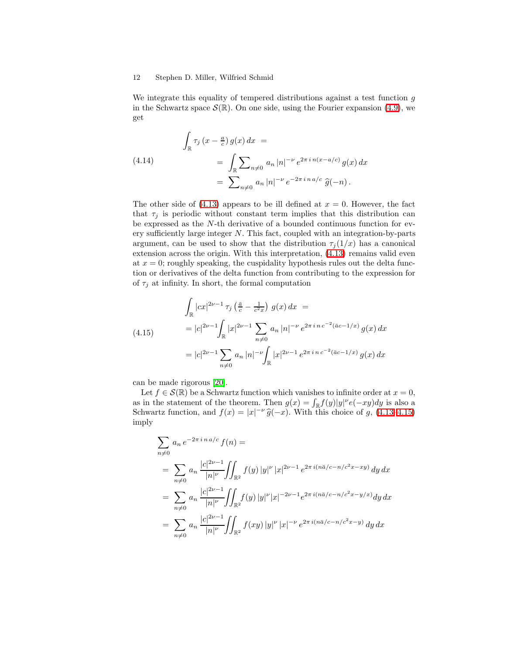We integrate this equality of tempered distributions against a test function  $q$ in the Schwartz space  $\mathcal{S}(\mathbb{R})$ . On one side, using the Fourier expansion [\(4.9\)](#page-9-0), we get

(4.14)  
\n
$$
\int_{\mathbb{R}} \tau_j(x - \frac{a}{c}) g(x) dx =
$$
\n
$$
= \int_{\mathbb{R}} \sum_{n \neq 0} a_n |n|^{-\nu} e^{2\pi i n (x - a/c)} g(x) dx
$$
\n
$$
= \sum_{n \neq 0} a_n |n|^{-\nu} e^{-2\pi i n a/c} \hat{g}(-n).
$$

The other side of  $(4.13)$  appears to be ill defined at  $x = 0$ . However, the fact that  $\tau_j$  is periodic without constant term implies that this distribution can be expressed as the  $N$ -th derivative of a bounded continuous function for every sufficiently large integer N. This fact, coupled with an integration-by-parts argument, can be used to show that the distribution  $\tau_i(1/x)$  has a canonical extension across the origin. With this interpretation, [\(4.13\)](#page-10-0) remains valid even at  $x = 0$ ; roughly speaking, the cuspidality hypothesis rules out the delta function or derivatives of the delta function from contributing to the expression for of  $\tau_j$  at infinity. In short, the formal computation

<span id="page-11-0"></span>
$$
\int_{\mathbb{R}} |cx|^{2\nu-1} \tau_j \left(\frac{\bar{a}}{c} - \frac{1}{c^2 x}\right) g(x) dx =
$$
\n
$$
= |c|^{2\nu-1} \int_{\mathbb{R}} |x|^{2\nu-1} \sum_{n \neq 0} a_n |n|^{-\nu} e^{2\pi i n c^{-2} (\bar{a}c - 1/x)} g(x) dx
$$
\n
$$
= |c|^{2\nu-1} \sum_{n \neq 0} a_n |n|^{-\nu} \int_{\mathbb{R}} |x|^{2\nu-1} e^{2\pi i n c^{-2} (\bar{a}c - 1/x)} g(x) dx
$$

can be made rigorous [\[20\]](#page-20-10).

Let  $f \in \mathcal{S}(\mathbb{R})$  be a Schwartz function which vanishes to infinite order at  $x = 0$ , as in the statement of the theorem. Then  $g(x) = \int_{\mathbb{R}} f(y)|y|^{\nu} e(-xy) dy$  is also a Schwartz function, and  $f(x) = |x|^{-\nu} \hat{g}(-x)$ . With this choice of g, [\(4.13](#page-10-0)[–4.15\)](#page-11-0) imply

$$
\sum_{n\neq 0} a_n e^{-2\pi i n a/c} f(n) =
$$
\n
$$
= \sum_{n\neq 0} a_n \frac{|c|^{2\nu-1}}{|n|^{\nu}} \iint_{\mathbb{R}^2} f(y) |y|^{\nu} |x|^{2\nu-1} e^{2\pi i (n\bar{a}/c - n/c^2 x - xy)} dy dx
$$
\n
$$
= \sum_{n\neq 0} a_n \frac{|c|^{2\nu-1}}{|n|^{\nu}} \iint_{\mathbb{R}^2} f(y) |y|^{\nu} |x|^{-2\nu-1} e^{2\pi i (n\bar{a}/c - n/c^2 x - y/x)} dy dx
$$
\n
$$
= \sum_{n\neq 0} a_n \frac{|c|^{2\nu-1}}{|n|^{\nu}} \iint_{\mathbb{R}^2} f(xy) |y|^{\nu} |x|^{-\nu} e^{2\pi i (n\bar{a}/c - n/c^2 x - y)} dy dx
$$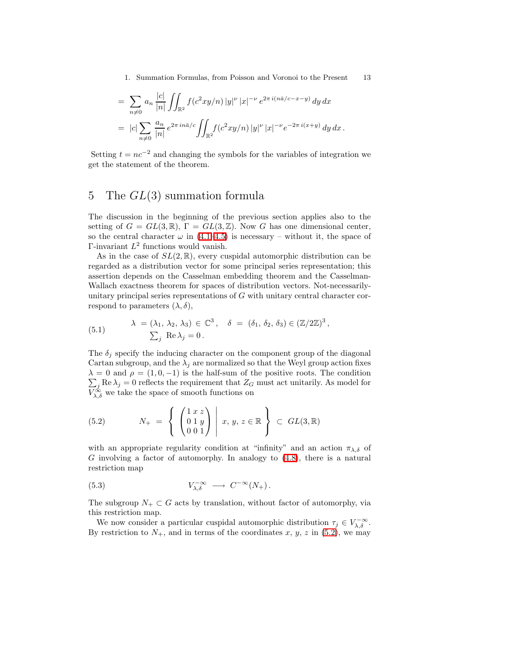$$
= \sum_{n\neq 0} a_n \frac{|c|}{|n|} \iint_{\mathbb{R}^2} f(c^2xy/n) |y|^{\nu} |x|^{-\nu} e^{2\pi i (n\bar{a}/c - x - y)} dy dx
$$
  
=  $|c| \sum_{n\neq 0} \frac{a_n}{|n|} e^{2\pi i n\bar{a}/c} \iint_{\mathbb{R}^2} f(c^2xy/n) |y|^{\nu} |x|^{-\nu} e^{-2\pi i (x+y)} dy dx.$ 

Setting  $t = nc^{-2}$  and changing the symbols for the variables of integration we get the statement of the theorem.

# <span id="page-12-0"></span>5 The  $GL(3)$  summation formula

The discussion in the beginning of the previous section applies also to the setting of  $G = GL(3, \mathbb{R})$ ,  $\Gamma = GL(3, \mathbb{Z})$ . Now G has one dimensional center, so the central character  $\omega$  in [\(4.1–](#page-8-4)[4.5\)](#page-8-3) is necessary – without it, the space of  $\Gamma$ -invariant  $L^2$  functions would vanish.

As in the case of  $SL(2,\mathbb{R})$ , every cuspidal automorphic distribution can be regarded as a distribution vector for some principal series representation; this assertion depends on the Casselman embedding theorem and the Casselman-Wallach exactness theorem for spaces of distribution vectors. Not-necessarilyunitary principal series representations of G with unitary central character correspond to parameters  $(\lambda, \delta)$ ,

(5.1) 
$$
\lambda = (\lambda_1, \lambda_2, \lambda_3) \in \mathbb{C}^3, \quad \delta = (\delta_1, \delta_2, \delta_3) \in (\mathbb{Z}/2\mathbb{Z})^3, \sum_j \text{Re}\,\lambda_j = 0.
$$

The  $\delta_i$  specify the inducing character on the component group of the diagonal Cartan subgroup, and the  $\lambda_i$  are normalized so that the Weyl group action fixes  $\lambda = 0$  and  $\rho = (1, 0, -1)$  is the half-sum of the positive roots. The condition  $\sum_j \text{Re } \lambda_j = 0$  reflects the requirement that  $Z_G$  must act unitarily. As model for  $V_{\lambda,\delta}^{\infty}$  we take the space of smooth functions on

<span id="page-12-1"></span>(5.2) 
$$
N_{+} = \left\{ \begin{array}{c} \begin{pmatrix} 1 & x & z \\ 0 & 1 & y \\ 0 & 0 & 1 \end{pmatrix} \; \end{array} \middle| \; x, y, z \in \mathbb{R} \right\} \subset GL(3, \mathbb{R})
$$

with an appropriate regularity condition at "infinity" and an action  $\pi_{\lambda,\delta}$  of G involving a factor of automorphy. In analogy to [\(4.8\)](#page-9-2), there is a natural restriction map

(5.3) 
$$
V_{\lambda,\delta}^{-\infty} \longrightarrow C^{-\infty}(N_+).
$$

The subgroup  $N_+ \subset G$  acts by translation, without factor of automorphy, via this restriction map.

We now consider a particular cuspidal automorphic distribution  $\tau_j \in V_{\lambda,\delta}^{-\infty}$ . By restriction to  $N_+$ , and in terms of the coordinates x, y, z in [\(5.2\)](#page-12-1), we may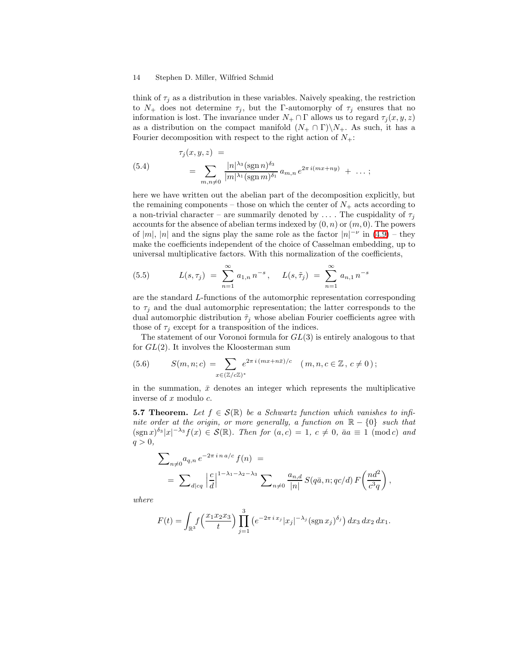think of  $\tau_i$  as a distribution in these variables. Naively speaking, the restriction to  $N_+$  does not determine  $\tau_i$ , but the Γ-automorphy of  $\tau_i$  ensures that no information is lost. The invariance under  $N_+ \cap \Gamma$  allows us to regard  $\tau_j(x, y, z)$ as a distribution on the compact manifold  $(N_+ \cap \Gamma) \backslash N_+$ . As such, it has a Fourier decomposition with respect to the right action of  $N_{+}$ :

(5.4) 
$$
\tau_j(x, y, z) = \sum_{m,n \neq 0} \frac{|n|^{\lambda_3} (\text{sgn } n)^{\delta_3}}{|m|^{\lambda_1} (\text{sgn } m)^{\delta_1}} a_{m,n} e^{2\pi i (mx + ny)} + \dots;
$$

here we have written out the abelian part of the decomposition explicitly, but the remaining components – those on which the center of  $N_{+}$  acts according to a non-trivial character – are summarily denoted by  $\dots$ . The cuspidality of  $\tau_i$ accounts for the absence of abelian terms indexed by  $(0, n)$  or  $(m, 0)$ . The powers of |m|, |n| and the signs play the same role as the factor  $|n|^{-\nu}$  in [\(4.9\)](#page-9-0) – they make the coefficients independent of the choice of Casselman embedding, up to universal multiplicative factors. With this normalization of the coefficients,

(5.5) 
$$
L(s, \tau_j) = \sum_{n=1}^{\infty} a_{1,n} n^{-s}, \quad L(s, \tilde{\tau}_j) = \sum_{n=1}^{\infty} a_{n,1} n^{-s}
$$

are the standard L-functions of the automorphic representation corresponding to  $\tau_j$  and the dual automorphic representation; the latter corresponds to the dual automorphic distribution  $\tilde{\tau}_j$  whose abelian Fourier coefficients agree with those of  $\tau_i$  except for a transposition of the indices.

The statement of our Voronoi formula for  $GL(3)$  is entirely analogous to that for  $GL(2)$ . It involves the Kloosterman sum

(5.6) 
$$
S(m, n; c) = \sum_{x \in (\mathbb{Z}/c\mathbb{Z})^*} e^{2\pi i (mx + n\bar{x})/c} \quad (m, n, c \in \mathbb{Z}, c \neq 0);
$$

<span id="page-13-0"></span>in the summation,  $\bar{x}$  denotes an integer which represents the multiplicative inverse of x modulo c.

**5.7 Theorem.** Let  $f \in \mathcal{S}(\mathbb{R})$  be a Schwartz function which vanishes to infinite order at the origin, or more generally, a function on  $\mathbb{R} - \{0\}$  such that  $(\operatorname{sgn} x)^{\delta_3}|x|^{-\lambda_3}f(x) \in \mathcal{S}(\mathbb{R})$ . Then for  $(a, c) = 1, c \neq 0$ ,  $\bar{a}a \equiv 1 \pmod{c}$  and  $q>0,$ 

$$
\sum_{n\neq 0} a_{q,n} e^{-2\pi i n a/c} f(n) =
$$
\n
$$
= \sum_{d|cq} \left| \frac{c}{d} \right|^{1-\lambda_1-\lambda_2-\lambda_3} \sum_{n\neq 0} \frac{a_{n,d}}{|n|} S(q\bar{a}, n; qc/d) F\left(\frac{nd^2}{c^3q}\right),
$$

where

$$
F(t) = \int_{\mathbb{R}^3} f\left(\frac{x_1 x_2 x_3}{t}\right) \prod_{j=1}^3 \left(e^{-2\pi i x_j} |x_j|^{-\lambda_j} (\text{sgn}\, x_j)^{\delta_j}\right) dx_3 \, dx_2 \, dx_1.
$$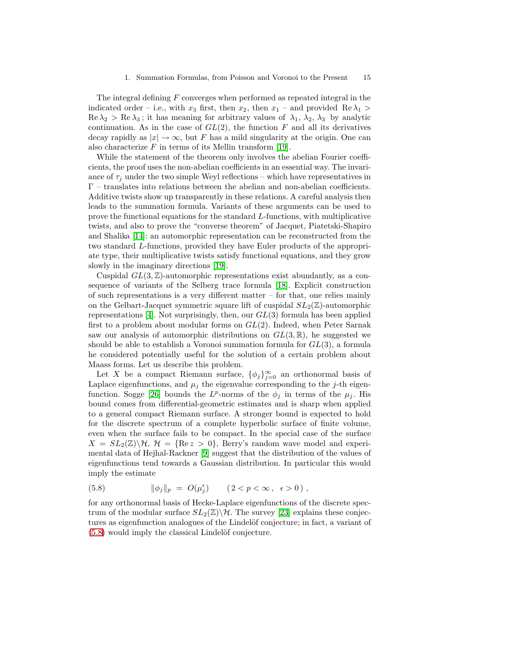The integral defining  $F$  converges when performed as repeated integral in the indicated order – i.e., with  $x_3$  first, then  $x_2$ , then  $x_1$  – and provided Re  $\lambda_1$  >  $\text{Re }\lambda_2$  >  $\text{Re }\lambda_3$ ; it has meaning for arbitrary values of  $\lambda_1$ ,  $\lambda_2$ ,  $\lambda_3$  by analytic continuation. As in the case of  $GL(2)$ , the function F and all its derivatives decay rapidly as  $|x| \to \infty$ , but F has a mild singularity at the origin. One can also characterize  $F$  in terms of its Mellin transform [\[19\]](#page-20-7).

While the statement of the theorem only involves the abelian Fourier coefficients, the proof uses the non-abelian coefficients in an essential way. The invariance of  $\tau_j$  under the two simple Weyl reflections – which have representatives in Γ – translates into relations between the abelian and non-abelian coefficients. Additive twists show up transparently in these relations. A careful analysis then leads to the summation formula. Variants of these arguments can be used to prove the functional equations for the standard L-functions, with multiplicative twists, and also to prove the "converse theorem" of Jacquet, Piatetski-Shapiro and Shalika [\[14\]](#page-20-11): an automorphic representation can be reconstructed from the two standard L-functions, provided they have Euler products of the appropriate type, their multiplicative twists satisfy functional equations, and they grow slowly in the imaginary directions [\[19\]](#page-20-7).

Cuspidal  $GL(3, \mathbb{Z})$ -automorphic representations exist abundantly, as a consequence of variants of the Selberg trace formula [\[18\]](#page-20-12). Explicit construction of such representations is a very different matter – for that, one relies mainly on the Gelbart-Jacquet symmetric square lift of cuspidal  $SL_2(\mathbb{Z})$ -automorphic representations [\[4\]](#page-19-4). Not surprisingly, then, our  $GL(3)$  formula has been applied first to a problem about modular forms on  $GL(2)$ . Indeed, when Peter Sarnak saw our analysis of automorphic distributions on  $GL(3,\mathbb{R})$ , he suggested we should be able to establish a Voronoi summation formula for  $GL(3)$ , a formula he considered potentially useful for the solution of a certain problem about Maass forms. Let us describe this problem.

Let X be a compact Riemann surface,  $\{\phi_j\}_{j=0}^{\infty}$  an orthonormal basis of Laplace eigenfunctions, and  $\mu_j$  the eigenvalue corresponding to the j-th eigen-function. Sogge [\[26\]](#page-20-13) bounds the  $L^p$ -norms of the  $\phi_j$  in terms of the  $\mu_j$ . His bound comes from differential-geometric estimates and is sharp when applied to a general compact Riemann surface. A stronger bound is expected to hold for the discrete spectrum of a complete hyperbolic surface of finite volume, even when the surface fails to be compact. In the special case of the surface  $X = SL_2(\mathbb{Z})\backslash \mathcal{H}$ ,  $\mathcal{H} = \{ \text{Re } z > 0 \}$ , Berry's random wave model and experimental data of Hejhal-Rackner [\[9\]](#page-20-14) suggest that the distribution of the values of eigenfunctions tend towards a Gaussian distribution. In particular this would imply the estimate

<span id="page-14-0"></span>(5.8) 
$$
\|\phi_j\|_p = O(\mu_j^{\epsilon}) \qquad (2 < p < \infty, \ \epsilon > 0),
$$

for any orthonormal basis of Hecke-Laplace eigenfunctions of the discrete spectrum of the modular surface  $SL_2(\mathbb{Z})\backslash \mathcal{H}$ . The survey [\[23\]](#page-20-15) explains these conjectures as eigenfunction analogues of the Lindelöf conjecture; in fact, a variant of  $(5.8)$  would imply the classical Lindelöf conjecture.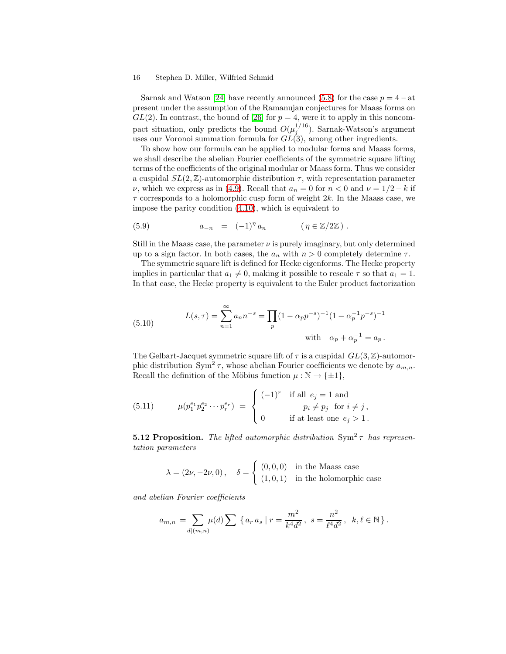Sarnak and Watson [\[24\]](#page-20-16) have recently announced [\(5.8\)](#page-14-0) for the case  $p = 4 - at$ present under the assumption of the Ramanujan conjectures for Maass forms on  $GL(2)$ . In contrast, the bound of [\[26\]](#page-20-13) for  $p = 4$ , were it to apply in this noncompact situation, only predicts the bound  $O(\mu_j^{1/16})$ . Sarnak-Watson's argument uses our Voronoi summation formula for  $GL(3)$ , among other ingredients.

To show how our formula can be applied to modular forms and Maass forms, we shall describe the abelian Fourier coefficients of the symmetric square lifting terms of the coefficients of the original modular or Maass form. Thus we consider a cuspidal  $SL(2, \mathbb{Z})$ -automorphic distribution  $\tau$ , with representation parameter v, which we express as in [\(4.9\)](#page-9-0). Recall that  $a_n = 0$  for  $n < 0$  and  $\nu = 1/2 - k$  if  $\tau$  corresponds to a holomorphic cusp form of weight  $2k$ . In the Maass case, we impose the parity condition [\(4.10\)](#page-9-3), which is equivalent to

(5.9) 
$$
a_{-n} = (-1)^n a_n \qquad (\eta \in \mathbb{Z}/2\mathbb{Z}).
$$

Still in the Maass case, the parameter  $\nu$  is purely imaginary, but only determined up to a sign factor. In both cases, the  $a_n$  with  $n > 0$  completely determine  $\tau$ .

<span id="page-15-0"></span>The symmetric square lift is defined for Hecke eigenforms. The Hecke property implies in particular that  $a_1 \neq 0$ , making it possible to rescale  $\tau$  so that  $a_1 = 1$ . In that case, the Hecke property is equivalent to the Euler product factorization

(5.10) 
$$
L(s,\tau) = \sum_{n=1}^{\infty} a_n n^{-s} = \prod_p (1 - \alpha_p p^{-s})^{-1} (1 - \alpha_p^{-1} p^{-s})^{-1}
$$
  
with  $\alpha_p + \alpha_p^{-1} = a_p$ .

The Gelbart-Jacquet symmetric square lift of  $\tau$  is a cuspidal  $GL(3, \mathbb{Z})$ -automorphic distribution  $Sym^2 \tau$ , whose abelian Fourier coefficients we denote by  $a_{m,n}$ . Recall the definition of the Möbius function  $\mu : \mathbb{N} \to {\pm 1}$ ,

(5.11) 
$$
\mu(p_1^{e_1}p_2^{e_2}\cdots p_r^{e_r}) = \begin{cases} (-1)^r & \text{if all } e_j = 1 \text{ and} \\ p_i \neq p_j & \text{for } i \neq j, \\ 0 & \text{if at least one } e_j > 1. \end{cases}
$$

**5.12 Proposition.** The lifted automorphic distribution  $Sym^2 \tau$  has representation parameters

$$
\lambda = (2\nu, -2\nu, 0), \quad \delta = \begin{cases} (0, 0, 0) & \text{in the Maass case} \\ (1, 0, 1) & \text{in the holomorphic case} \end{cases}
$$

and abelian Fourier coefficients

$$
a_{m,n} = \sum_{d|(m,n)} \mu(d) \sum \{ a_r a_s \mid r = \frac{m^2}{k^4 d^2}, \ s = \frac{n^2}{\ell^4 d^2}, \ k, \ell \in \mathbb{N} \}.
$$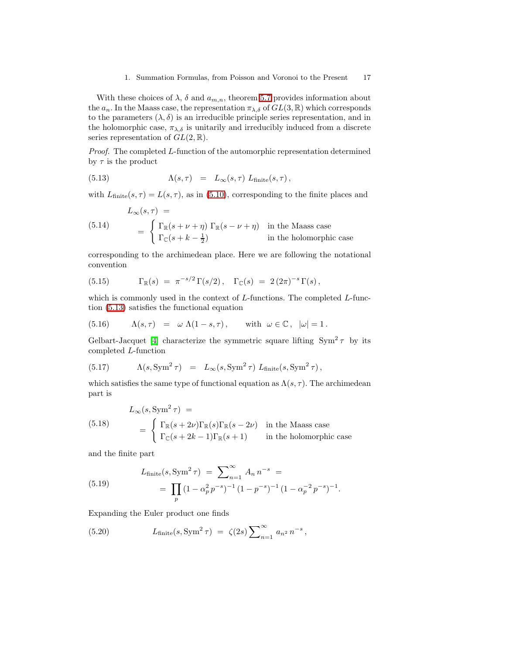1. Summation Formulas, from Poisson and Voronoi to the Present 17

With these choices of  $\lambda$ ,  $\delta$  and  $a_{m,n}$ , theorem [5.7](#page-13-0) provides information about the  $a_n$ . In the Maass case, the representation  $\pi_{\lambda,\delta}$  of  $GL(3,\mathbb{R})$  which corresponds to the parameters  $(\lambda, \delta)$  is an irreducible principle series representation, and in the holomorphic case,  $\pi_{\lambda,\delta}$  is unitarily and irreducibly induced from a discrete series representation of  $GL(2,\mathbb{R})$ .

<span id="page-16-0"></span>Proof. The completed L-function of the automorphic representation determined by  $\tau$  is the product

(5.13) 
$$
\Lambda(s,\tau) = L_{\infty}(s,\tau) L_{\text{finite}}(s,\tau),
$$

with  $L_{\text{finite}}(s, \tau) = L(s, \tau)$ , as in [\(5.10\)](#page-15-0), corresponding to the finite places and

(5.14) 
$$
L_{\infty}(s,\tau) =
$$

$$
= \begin{cases} \Gamma_{\mathbb{R}}(s+\nu+\eta) \Gamma_{\mathbb{R}}(s-\nu+\eta) & \text{in the Maass case} \\ \Gamma_{\mathbb{C}}(s+k-\frac{1}{2}) & \text{in the holomorphic case} \end{cases}
$$

corresponding to the archimedean place. Here we are following the notational convention

(5.15) 
$$
\Gamma_{\mathbb{R}}(s) = \pi^{-s/2} \Gamma(s/2), \quad \Gamma_{\mathbb{C}}(s) = 2 (2\pi)^{-s} \Gamma(s),
$$

which is commonly used in the context of  $L$ -functions. The completed  $L$ -function [\(5.13\)](#page-16-0) satisfies the functional equation

(5.16) 
$$
\Lambda(s,\tau) = \omega \Lambda(1-s,\tau), \quad \text{with} \quad \omega \in \mathbb{C}, \quad |\omega| = 1.
$$

Gelbart-Jacquet [\[4\]](#page-19-4) characterize the symmetric square lifting  $Sym^2 \tau$  by its completed L-function

(5.17) 
$$
\Lambda(s, \text{Sym}^2 \tau) = L_{\infty}(s, \text{Sym}^2 \tau) L_{\text{finite}}(s, \text{Sym}^2 \tau),
$$

<span id="page-16-1"></span>which satisfies the same type of functional equation as  $\Lambda(s, \tau)$ . The archimedean part is

(5.18) 
$$
L_{\infty}(s, \text{Sym}^2 \tau) =
$$

$$
= \begin{cases} \Gamma_{\mathbb{R}}(s+2\nu)\Gamma_{\mathbb{R}}(s)\Gamma_{\mathbb{R}}(s-2\nu) & \text{in the Maass case} \\ \Gamma_{\mathbb{C}}(s+2k-1)\Gamma_{\mathbb{R}}(s+1) & \text{in the holomorphic case} \end{cases}
$$

and the finite part

(5.19) 
$$
L_{\text{finite}}(s, \text{Sym}^2 \tau) = \sum_{n=1}^{\infty} A_n n^{-s} = \prod_p (1 - \alpha_p^2 p^{-s})^{-1} (1 - p^{-s})^{-1} (1 - \alpha_p^{-2} p^{-s})^{-1}.
$$

Expanding the Euler product one finds

(5.20) 
$$
L_{\text{finite}}(s, \text{Sym}^2 \tau) = \zeta(2s) \sum_{n=1}^{\infty} a_{n^2} n^{-s},
$$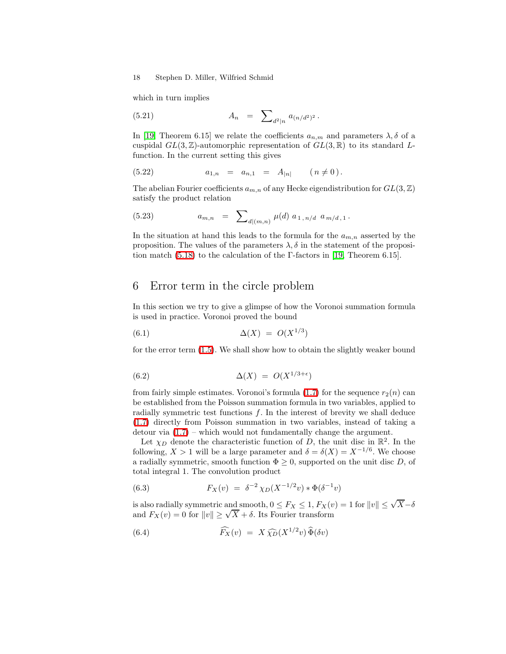which in turn implies

(5.21) 
$$
A_n = \sum_{d^2|n} a_{(n/d^2)^2}.
$$

In [\[19,](#page-20-7) Theorem 6.15] we relate the coefficients  $a_{n,m}$  and parameters  $\lambda, \delta$  of a cuspidal  $GL(3,\mathbb{Z})$ -automorphic representation of  $GL(3,\mathbb{R})$  to its standard Lfunction. In the current setting this gives

$$
(5.22) \t\t\t a_{1,n} = a_{n,1} = A_{|n|} \t (n \neq 0).
$$

The abelian Fourier coefficients  $a_{m,n}$  of any Hecke eigendistribution for  $GL(3, \mathbb{Z})$ satisfy the product relation

(5.23) 
$$
a_{m,n} = \sum_{d|(m,n)} \mu(d) a_{1,n/d} a_{m/d,1}.
$$

In the situation at hand this leads to the formula for the  $a_{m,n}$  asserted by the proposition. The values of the parameters  $\lambda$ ,  $\delta$  in the statement of the proposition match [\(5.18\)](#page-16-1) to the calculation of the Γ-factors in [\[19,](#page-20-7) Theorem 6.15].

### <span id="page-17-0"></span>6 Error term in the circle problem

<span id="page-17-3"></span>In this section we try to give a glimpse of how the Voronoi summation formula is used in practice. Voronoi proved the bound

$$
\Delta(X) = O(X^{1/3})
$$

<span id="page-17-2"></span>for the error term [\(1.5\)](#page-1-1). We shall show how to obtain the slightly weaker bound

$$
\Delta(X) = O(X^{1/3 + \epsilon})
$$

from fairly simple estimates. Voronoi's formula [\(1.7\)](#page-1-3) for the sequence  $r_2(n)$  can be established from the Poisson summation formula in two variables, applied to radially symmetric test functions  $f$ . In the interest of brevity we shall deduce [\(1.7\)](#page-1-3) directly from Poisson summation in two variables, instead of taking a detour via [\(1.7\)](#page-1-3) – which would not fundamentally change the argument.

Let  $\chi_D$  denote the characteristic function of D, the unit disc in  $\mathbb{R}^2$ . In the following,  $X > 1$  will be a large parameter and  $\delta = \delta(X) = X^{-1/6}$ . We choose a radially symmetric, smooth function  $\Phi \geq 0$ , supported on the unit disc D, of total integral 1. The convolution product

(6.3) 
$$
F_X(v) = \delta^{-2} \chi_D(X^{-1/2}v) * \Phi(\delta^{-1}v)
$$

<span id="page-17-1"></span>is also radially symmetric and smooth,  $0 \leq F_X \leq 1$ ,  $F_X(v) = 1$  for  $||v|| \leq \sqrt{X} - \delta$ and  $F_X(v) = 0$  for  $||v|| \ge \sqrt{X} + \delta$ . Its Fourier transform

(6.4) 
$$
\widehat{F_X}(v) = X \widehat{\chi_D}(X^{1/2}v) \widehat{\Phi}(\delta v)
$$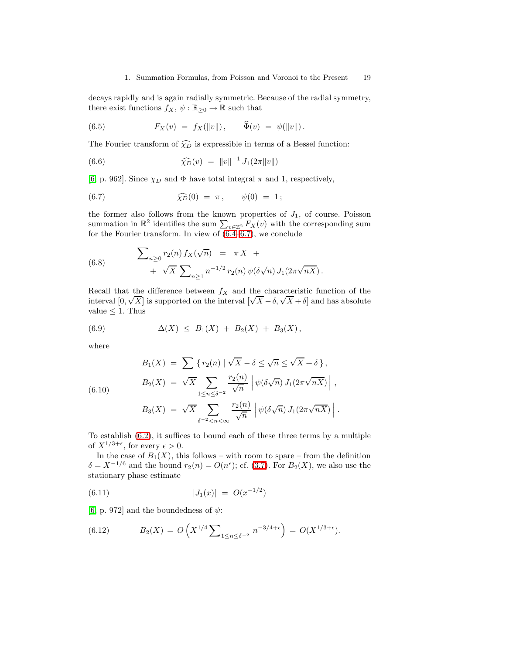decays rapidly and is again radially symmetric. Because of the radial symmetry, there exist functions  $f_X$ ,  $\psi$  :  $\mathbb{R}_{\geq 0} \to \mathbb{R}$  such that

(6.5) 
$$
F_X(v) = f_X(\|v\|), \quad \widehat{\Phi}(v) = \psi(\|v\|).
$$

The Fourier transform of  $\widehat{\chi_D}$  is expressible in terms of a Bessel function:

<span id="page-18-0"></span>(6.6) 
$$
\widehat{\chi_D}(v) = ||v||^{-1} J_1(2\pi ||v||)
$$

[\[6,](#page-19-5) p. 962]. Since  $\chi_D$  and  $\Phi$  have total integral  $\pi$  and 1, respectively,

(6.7) 
$$
\widehat{\chi_D}(0) = \pi, \quad \psi(0) = 1;
$$

<span id="page-18-2"></span>the former also follows from the known properties of  $J_1$ , of course. Poisson summation in  $\mathbb{R}^2$  identifies the sum  $\sum_{v \in \mathbb{Z}^2} F_X(v)$  with the corresponding sum for the Fourier transform. In view of [\(6.4–](#page-17-1)[6.7\)](#page-18-0), we conclude

(6.8) 
$$
\sum_{n\geq 0} r_2(n) f_X(\sqrt{n}) = \pi X ++ \sqrt{X} \sum_{n\geq 1} n^{-1/2} r_2(n) \psi(\delta \sqrt{n}) J_1(2\pi \sqrt{nX}).
$$

Recall that the difference between  $f_X$  and the characteristic function of the interval  $[0, \sqrt{X}]$  is supported on the interval  $[\sqrt{X} - \delta, \sqrt{X} + \delta]$  and has absolute value  $\leq 1$ . Thus

(6.9) 
$$
\Delta(X) \leq B_1(X) + B_2(X) + B_3(X),
$$

where

(6.10)  
\n
$$
B_1(X) = \sum \{ r_2(n) \mid \sqrt{X} - \delta \le \sqrt{n} \le \sqrt{X} + \delta \},
$$
\n
$$
B_2(X) = \sqrt{X} \sum_{1 \le n \le \delta^{-2}} \frac{r_2(n)}{\sqrt{n}} \left| \psi(\delta\sqrt{n}) J_1(2\pi\sqrt{nX}) \right|,
$$
\n
$$
B_3(X) = \sqrt{X} \sum_{\delta^{-2} < n < \infty} \frac{r_2(n)}{\sqrt{n}} \left| \psi(\delta\sqrt{n}) J_1(2\pi\sqrt{nX}) \right|.
$$

To establish [\(6.2\)](#page-17-2), it suffices to bound each of these three terms by a multiple of  $X^{1/3+\epsilon}$ , for every  $\epsilon > 0$ .

<span id="page-18-1"></span>In the case of  $B_1(X)$ , this follows – with room to spare – from the definition  $\delta = X^{-1/6}$  and the bound  $r_2(n) = O(n^{\epsilon})$ ; cf. [\(3.7\)](#page-5-1). For  $B_2(X)$ , we also use the stationary phase estimate

(6.11) 
$$
|J_1(x)| = O(x^{-1/2})
$$

[\[6,](#page-19-5) p. 972] and the boundedness of  $\psi$ :

(6.12) 
$$
B_2(X) = O\left(X^{1/4} \sum_{1 \leq n \leq \delta^{-2}} n^{-3/4 + \epsilon}\right) = O(X^{1/3 + \epsilon}).
$$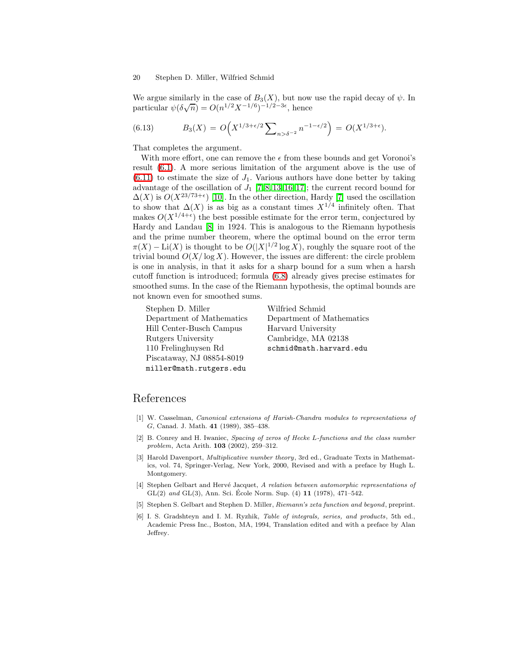We argue similarly in the case of  $B_3(X)$ , but now use the rapid decay of  $\psi$ . In particular  $\psi(\delta\sqrt{n}) = O(n^{1/2}X^{-1/6})^{-1/2-3\epsilon}$ , hence

(6.13) 
$$
B_3(X) = O\Big(X^{1/3 + \epsilon/2} \sum_{n > \delta^{-2}} n^{-1 - \epsilon/2}\Big) = O(X^{1/3 + \epsilon}).
$$

That completes the argument.

With more effort, one can remove the  $\epsilon$  from these bounds and get Voronoi's result [\(6.1\)](#page-17-3). A more serious limitation of the argument above is the use of  $(6.11)$  to estimate the size of  $J_1$ . Various authors have done better by taking advantage of the oscillation of  $J_1$  [\[7,](#page-20-2) [8,](#page-20-4) [13,](#page-20-17) [16,](#page-20-18) [17\]](#page-20-19); the current record bound for  $\Delta(X)$  is  $O(X^{23/73+\epsilon})$  [\[10\]](#page-20-20). In the other direction, Hardy [\[7\]](#page-20-2) used the oscillation to show that  $\Delta(X)$  is as big as a constant times  $X^{1/4}$  infinitely often. That makes  $O(X^{1/4+\epsilon})$  the best possible estimate for the error term, conjectured by Hardy and Landau [\[8\]](#page-20-4) in 1924. This is analogous to the Riemann hypothesis and the prime number theorem, where the optimal bound on the error term  $\pi(X) - \text{Li}(X)$  is thought to be  $O(|X|^{1/2} \log X)$ , roughly the square root of the trivial bound  $O(X/\log X)$ . However, the issues are different: the circle problem is one in analysis, in that it asks for a sharp bound for a sum when a harsh cutoff function is introduced; formula [\(6.8\)](#page-18-2) already gives precise estimates for smoothed sums. In the case of the Riemann hypothesis, the optimal bounds are not known even for smoothed sums.

Stephen D. Miller Wilfried Schmid Department of Mathematics Department of Mathematics Hill Center-Busch Campus Harvard University Rutgers University Cambridge, MA 02138 110 Frelinghuysen Rd schmid@math.harvard.edu Piscataway, NJ 08854-8019 miller@math.rutgers.edu

### <span id="page-19-2"></span>References

- [1] W. Casselman, Canonical extensions of Harish-Chandra modules to representations of G, Canad. J. Math. 41 (1989), 385–438.
- <span id="page-19-3"></span>[2] B. Conrey and H. Iwaniec, Spacing of zeros of Hecke L-functions and the class number problem, Acta Arith. 103 (2002), 259–312.
- <span id="page-19-0"></span>[3] Harold Davenport, *Multiplicative number theory*, 3rd ed., Graduate Texts in Mathematics, vol. 74, Springer-Verlag, New York, 2000, Revised and with a preface by Hugh L. Montgomery.
- <span id="page-19-4"></span>[4] Stephen Gelbart and Hervé Jacquet, A relation between automorphic representations of GL $(2)$  and GL $(3)$ , Ann. Sci. Ecole Norm. Sup.  $(4)$  11  $(1978)$ , 471–542.
- <span id="page-19-1"></span>[5] Stephen S. Gelbart and Stephen D. Miller, Riemann's zeta function and beyond, preprint.
- <span id="page-19-5"></span>[6] I. S. Gradshteyn and I. M. Ryzhik, Table of integrals, series, and products, 5th ed., Academic Press Inc., Boston, MA, 1994, Translation edited and with a preface by Alan Jeffrey.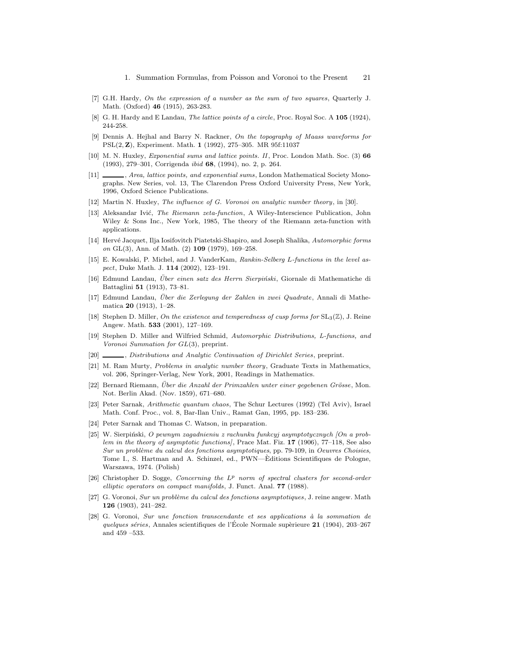- <span id="page-20-2"></span>[7] G.H. Hardy, On the expression of a number as the sum of two squares, Quarterly J. Math. (Oxford) 46 (1915), 263-283.
- <span id="page-20-4"></span>[8] G. H. Hardy and E Landau, *The lattice points of a circle*, Proc. Royal Soc. A 105 (1924), 244-258.
- <span id="page-20-14"></span>[9] Dennis A. Hejhal and Barry N. Rackner, On the topography of Maass waveforms for PSL(2, Z), Experiment. Math. 1 (1992), 275–305. MR 95f:11037
- <span id="page-20-20"></span>[10] M. N. Huxley, *Exponential sums and lattice points. II*, Proc. London Math. Soc. (3) 66 (1993), 279–301, Corrigenda ibid 68, (1994), no. 2, p. 264.
- <span id="page-20-8"></span>[11] \_\_\_\_, Area, lattice points, and exponential sums, London Mathematical Society Monographs. New Series, vol. 13, The Clarendon Press Oxford University Press, New York, 1996, Oxford Science Publications.
- <span id="page-20-1"></span>[12] Martin N. Huxley, The influence of G. Voronoi on analytic number theory, in [30].
- <span id="page-20-17"></span>[13] Aleksandar Ivić, The Riemann zeta-function, A Wiley-Interscience Publication, John Wiley & Sons Inc., New York, 1985, The theory of the Riemann zeta-function with applications.
- <span id="page-20-11"></span>[14] Hervé Jacquet, Ilja Iosifovitch Piatetski-Shapiro, and Joseph Shalika, Automorphic forms on GL(3), Ann. of Math. (2) 109 (1979), 169–258.
- <span id="page-20-9"></span>[15] E. Kowalski, P. Michel, and J. VanderKam, Rankin-Selberg L-functions in the level aspect, Duke Math. J. 114 (2002), 123–191.
- <span id="page-20-18"></span>[16] Edmund Landau, *Über einen satz des Herrn Sierpiński*, Giornale di Mathematiche di Battaglini 51 (1913), 73–81.
- <span id="page-20-19"></span>[17] Edmund Landau, Über die Zerlegung der Zahlen in zwei Quadrate, Annali di Mathematica 20 (1913), 1–28.
- <span id="page-20-12"></span>[18] Stephen D. Miller, On the existence and temperedness of cusp forms for  $SL_3(\mathbb{Z})$ , J. Reine Angew. Math. 533 (2001), 127–169.
- <span id="page-20-7"></span>[19] Stephen D. Miller and Wilfried Schmid, Automorphic Distributions, L-functions, and Voronoi Summation for GL(3), preprint.
- <span id="page-20-10"></span>[20]  $\_\_\_\_\$ n Distributions and Analytic Continuation of Dirichlet Series, preprint.
- <span id="page-20-6"></span>[21] M. Ram Murty, Problems in analytic number theory, Graduate Texts in Mathematics, vol. 206, Springer-Verlag, New York, 2001, Readings in Mathematics.
- <span id="page-20-5"></span>[22] Bernard Riemann, Über die Anzahl der Primzahlen unter einer gegebenen Grösse, Mon. Not. Berlin Akad. (Nov. 1859), 671–680.
- <span id="page-20-15"></span>[23] Peter Sarnak, Arithmetic quantum chaos, The Schur Lectures (1992) (Tel Aviv), Israel Math. Conf. Proc., vol. 8, Bar-Ilan Univ., Ramat Gan, 1995, pp. 183–236.
- <span id="page-20-16"></span>[24] Peter Sarnak and Thomas C. Watson, in preparation.
- <span id="page-20-3"></span> $[25]$  W. Sierpiński, O pewnym zagadnieniu z rachunku funkcyj asymptotycznych  $[On a probability]$ lem in the theory of asymptotic functions], Prace Mat. Fiz. 17 (1906), 77–118, See also Sur un problème du calcul des fonctions asymptotiques, pp. 79-109, in Oeuvres Choisies, Tome I., S. Hartman and A. Schinzel, ed., PWN—Editions Scientifiques de Pologne, ` Warszawa, 1974. (Polish)
- <span id="page-20-13"></span>[26] Christopher D. Sogge, Concerning the  $L^p$  norm of spectral clusters for second-order elliptic operators on compact manifolds, J. Funct. Anal. 77 (1988).
- <span id="page-20-0"></span> $[27]$  G. Voronoi, Sur un problème du calcul des fonctions asymptotiques, J. reine angew. Math 126 (1903), 241–282.
- [28] G. Voronoi, Sur une fonction transcendante et ses applications à la sommation de quelques séries, Annales scientifiques de l'École Normale supèrieure  $21$  (1904), 203–267 and 459 –533.